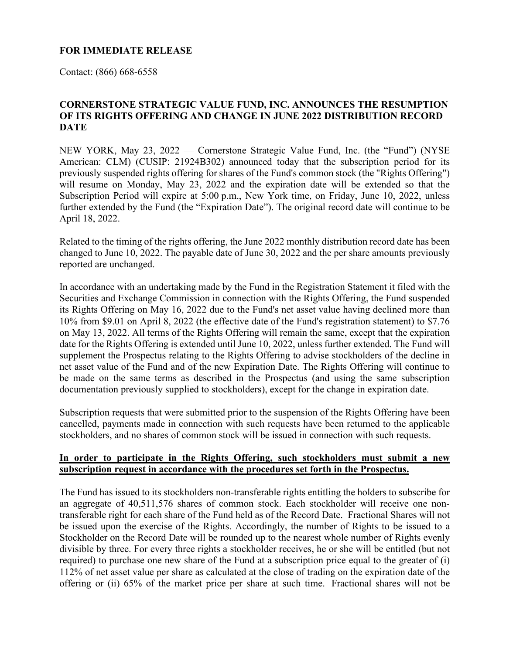## **FOR IMMEDIATE RELEASE**

Contact: (866) 668-6558

## **CORNERSTONE STRATEGIC VALUE FUND, INC. ANNOUNCES THE RESUMPTION OF ITS RIGHTS OFFERING AND CHANGE IN JUNE 2022 DISTRIBUTION RECORD DATE**

NEW YORK, May 23, 2022 — Cornerstone Strategic Value Fund, Inc. (the "Fund") (NYSE American: CLM) (CUSIP: 21924B302) announced today that the subscription period for its previously suspended rights offering for shares of the Fund's common stock (the "Rights Offering") will resume on Monday, May 23, 2022 and the expiration date will be extended so that the Subscription Period will expire at 5:00 p.m., New York time, on Friday, June 10, 2022, unless further extended by the Fund (the "Expiration Date"). The original record date will continue to be April 18, 2022.

Related to the timing of the rights offering, the June 2022 monthly distribution record date has been changed to June 10, 2022. The payable date of June 30, 2022 and the per share amounts previously reported are unchanged.

In accordance with an undertaking made by the Fund in the Registration Statement it filed with the Securities and Exchange Commission in connection with the Rights Offering, the Fund suspended its Rights Offering on May 16, 2022 due to the Fund's net asset value having declined more than 10% from \$9.01 on April 8, 2022 (the effective date of the Fund's registration statement) to \$7.76 on May 13, 2022. All terms of the Rights Offering will remain the same, except that the expiration date for the Rights Offering is extended until June 10, 2022, unless further extended. The Fund will supplement the Prospectus relating to the Rights Offering to advise stockholders of the decline in net asset value of the Fund and of the new Expiration Date. The Rights Offering will continue to be made on the same terms as described in the Prospectus (and using the same subscription documentation previously supplied to stockholders), except for the change in expiration date.

Subscription requests that were submitted prior to the suspension of the Rights Offering have been cancelled, payments made in connection with such requests have been returned to the applicable stockholders, and no shares of common stock will be issued in connection with such requests.

## **In order to participate in the Rights Offering, such stockholders must submit a new subscription request in accordance with the procedures set forth in the Prospectus.**

The Fund has issued to its stockholders non-transferable rights entitling the holders to subscribe for an aggregate of 40,511,576 shares of common stock. Each stockholder will receive one nontransferable right for each share of the Fund held as of the Record Date. Fractional Shares will not be issued upon the exercise of the Rights. Accordingly, the number of Rights to be issued to a Stockholder on the Record Date will be rounded up to the nearest whole number of Rights evenly divisible by three. For every three rights a stockholder receives, he or she will be entitled (but not required) to purchase one new share of the Fund at a subscription price equal to the greater of (i) 112% of net asset value per share as calculated at the close of trading on the expiration date of the offering or (ii) 65% of the market price per share at such time. Fractional shares will not be